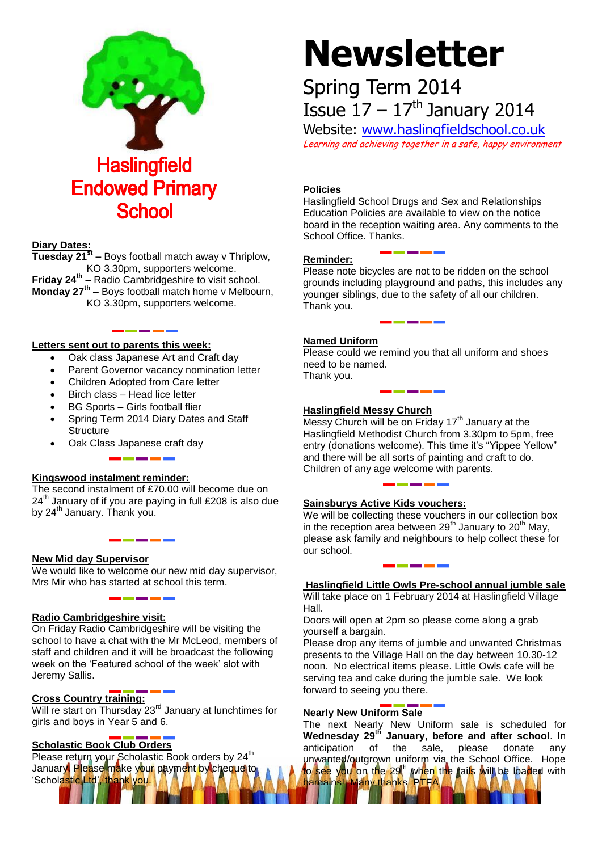

#### **Diary Dates:**

**Tuesday 21st –** Boys football match away v Thriplow, KO 3.30pm, supporters welcome. **Friday 24th –** Radio Cambridgeshire to visit school. **Monday 27th –** Boys football match home v Melbourn, KO 3.30pm, supporters welcome.

#### **Letters sent out to parents this week:**

- Oak class Japanese Art and Craft day
- Parent Governor vacancy nomination letter
- Children Adopted from Care letter
- Birch class Head lice letter
- BG Sports Girls football flier
- Spring Term 2014 Diary Dates and Staff **Structure**
- Oak Class Japanese craft day

# **Kingswood instalment reminder:**

The second instalment of £70.00 will become due on  $24<sup>th</sup>$  January of if you are paying in full £208 is also due by 24<sup>th</sup> January. Thank you.

#### **New Mid day Supervisor**

We would like to welcome our new mid day supervisor, Mrs Mir who has started at school this term.

#### **Radio Cambridgeshire visit:**

On Friday Radio Cambridgeshire will be visiting the school to have a chat with the Mr McLeod, members of staff and children and it will be broadcast the following week on the 'Featured school of the week' slot with Jeremy Sallis.

# **Cross Country training:**

Will re start on Thursday 23<sup>rd</sup> January at lunchtimes for girls and boys in Year 5 and 6.

# **Scholastic Book Club Orders**

Please return your Scholastic Book orders by 24<sup>th</sup> January. Please make your payment by cheque to 'Scholastic Ltd', thank you.

# **Newsletter**

# Spring Term 2014 Issue  $17 - 17$ <sup>th</sup> January 2014

Website: [www.haslingfieldschool.co.uk](http://www.haslingfieldschool.co.uk/) Learning and achieving together in a safe, happy environment

# **Policies**

Haslingfield School Drugs and Sex and Relationships Education Policies are available to view on the notice board in the reception waiting area. Any comments to the School Office. Thanks.

#### **Reminder:**

Please note bicycles are not to be ridden on the school grounds including playground and paths, this includes any younger siblings, due to the safety of all our children. Thank you.

# **Named Uniform**

Please could we remind you that all uniform and shoes need to be named. Thank you.

#### **Haslingfield Messy Church**

Messy Church will be on Friday  $17<sup>th</sup>$  January at the Haslingfield Methodist Church from 3.30pm to 5pm, free entry (donations welcome). This time it's "Yippee Yellow" and there will be all sorts of painting and craft to do. Children of any age welcome with parents.

# **Sainsburys Active Kids vouchers:**

We will be collecting these vouchers in our collection box in the reception area between  $29<sup>th</sup>$  January to  $20<sup>th</sup>$  May, please ask family and neighbours to help collect these for our school.

#### **Haslingfield Little Owls Pre-school annual jumble sale** Will take place on 1 February 2014 at Haslingfield Village Hall.

Doors will open at 2pm so please come along a grab yourself a bargain.

Please drop any items of jumble and unwanted Christmas presents to the Village Hall on the day between 10.30-12 noon. No electrical items please. Little Owls cafe will be serving tea and cake during the jumble sale. We look forward to seeing you there.

# **Nearly New Uniform Sale**

harnains! Many thanks, PTFA.

The next Nearly New Uniform sale is scheduled for **Wednesday 29th January, before and after school**. In anticipation of the sale, please donate any unwanted/outgrown uniform via the School Office. Hope to see you on the 29<sup>th</sup> when the rails will be loaded with